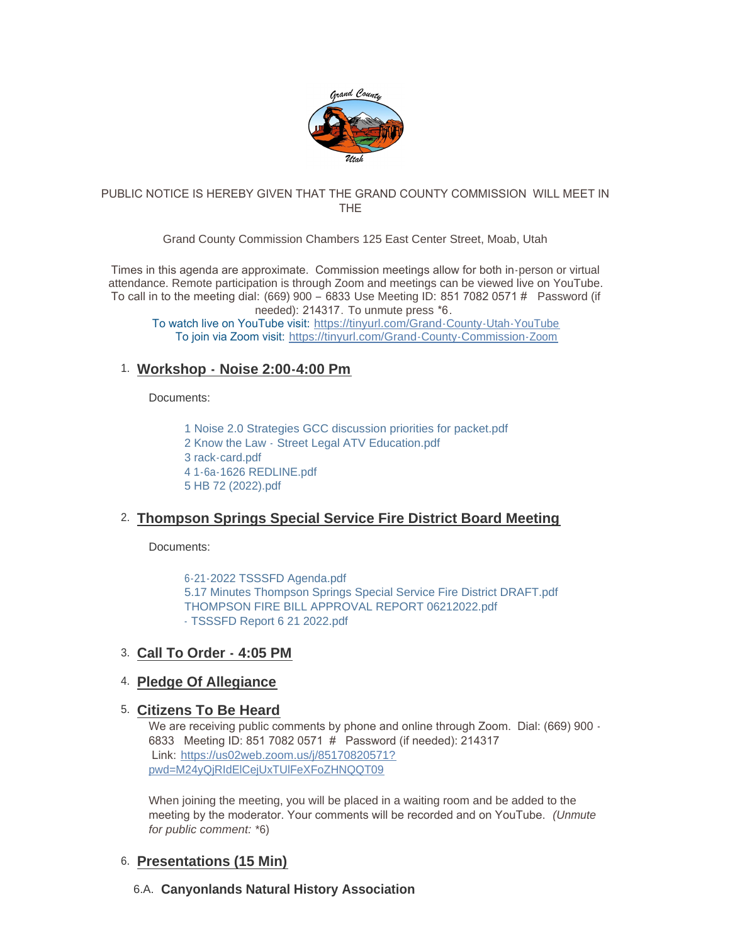

#### PUBLIC NOTICE IS HEREBY GIVEN THAT THE GRAND COUNTY COMMISSION WILL MEET IN THE

Grand County Commission Chambers 125 East Center Street, Moab, Utah

Times in this agenda are approximate. Commission meetings allow for both in-person or virtual attendance. Remote participation is through Zoom and meetings can be viewed live on YouTube. To call in to the meeting dial: (669) 900 – 6833 Use Meeting ID: 851 7082 0571 # Password (if needed): 214317. To unmute press \*6.

To watch live on YouTube visit: [https://tinyurl.com/Grand-County-Utah-YouTube](https://www.youtube.com/c/GrandCountyUtahGovernment/featured) To join via Zoom visit: [https://tinyurl.com/Grand-County-Commission-Zoom](https://us02web.zoom.us/j/85170820571?pwd=M24yQjRIdElCejUxTUlFeXFoZHNQQT09#success)

# **Workshop - Noise 2:00-4:00 Pm** 1.

Documents:

[1 Noise 2.0 Strategies GCC discussion priorities for packet.pdf](https://www.grandcountyutah.net/AgendaCenter/ViewFile/Item/298?fileID=39418) [2 Know the Law - Street Legal ATV Education.pdf](https://www.grandcountyutah.net/AgendaCenter/ViewFile/Item/298?fileID=39415) [3 rack-card.pdf](https://www.grandcountyutah.net/AgendaCenter/ViewFile/Item/298?fileID=39416) [4 1-6a-1626 REDLINE.pdf](https://www.grandcountyutah.net/AgendaCenter/ViewFile/Item/298?fileID=39413) [5 HB 72 \(2022\).pdf](https://www.grandcountyutah.net/AgendaCenter/ViewFile/Item/298?fileID=39414)

# **Thompson Springs Special Service Fire District Board Meeting**  2.

Documents:

[6-21-2022 TSSSFD Agenda.pdf](https://www.grandcountyutah.net/AgendaCenter/ViewFile/Item/316?fileID=39419) [5.17 Minutes Thompson Springs Special Service Fire District DRAFT.pdf](https://www.grandcountyutah.net/AgendaCenter/ViewFile/Item/316?fileID=39420) [THOMPSON FIRE BILL APPROVAL REPORT 06212022.pdf](https://www.grandcountyutah.net/AgendaCenter/ViewFile/Item/316?fileID=39597) [- TSSSFD Report 6 21 2022.pdf](https://www.grandcountyutah.net/AgendaCenter/ViewFile/Item/316?fileID=39514)

## **Call To Order - 4:05 PM** 3.

## **Pledge Of Allegiance**  4.

## **Citizens To Be Heard** 5.

We are receiving public comments by phone and online through Zoom. Dial: (669) 900 -6833 Meeting ID: 851 7082 0571 # Password (if needed): 214317 Link: [https://us02web.zoom.us/j/85170820571?](https://www.google.com/url?q=https://us02web.zoom.us/j/85170820571?pwd%3DM24yQjRIdElCejUxTUlFeXFoZHNQQT09&sa=D&source=calendar&ust=1622558055397000&usg=AOvVaw3kyggO0poLAGEQG4MJDzF9) pwd=M24yQjRIdElCejUxTUlFeXFoZHNQQT09

When joining the meeting, you will be placed in a waiting room and be added to the meeting by the moderator. Your comments will be recorded and on YouTube. *(Unmute for public comment:* \*6)

## **Presentations (15 Min)** 6.

## **Canyonlands Natural History Association** 6.A.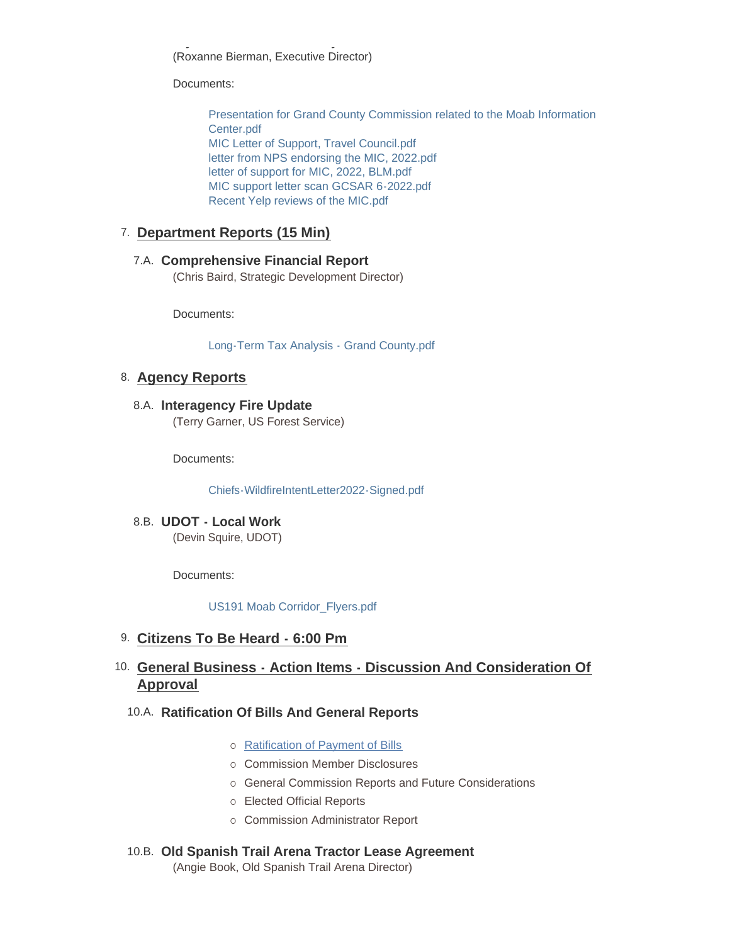**Canyonlands Natural History Association** (Roxanne Bierman, Executive Director)

Documents:

[Presentation for Grand County Commission related to the Moab Information](https://www.grandcountyutah.net/AgendaCenter/ViewFile/Item/310?fileID=39572)  Center.pdf [MIC Letter of Support, Travel Council.pdf](https://www.grandcountyutah.net/AgendaCenter/ViewFile/Item/310?fileID=39574) [letter from NPS endorsing the MIC, 2022.pdf](https://www.grandcountyutah.net/AgendaCenter/ViewFile/Item/310?fileID=39575) [letter of support for MIC, 2022, BLM.pdf](https://www.grandcountyutah.net/AgendaCenter/ViewFile/Item/310?fileID=39576) [MIC support letter scan GCSAR 6-2022.pdf](https://www.grandcountyutah.net/AgendaCenter/ViewFile/Item/310?fileID=39577) [Recent Yelp reviews of the MIC.pdf](https://www.grandcountyutah.net/AgendaCenter/ViewFile/Item/310?fileID=39573)

## **Department Reports (15 Min)** 7.

### **Comprehensive Financial Report** 7.A.

(Chris Baird, Strategic Development Director)

Documents:

[Long-Term Tax Analysis - Grand County.pdf](https://www.grandcountyutah.net/AgendaCenter/ViewFile/Item/307?fileID=39445)

## **Agency Reports** 8.

**Interagency Fire Update** 8.A. (Terry Garner, US Forest Service)

Documents:

[Chiefs-WildfireIntentLetter2022-Signed.pdf](https://www.grandcountyutah.net/AgendaCenter/ViewFile/Item/299?fileID=39404)

**UDOT - Local Work** 8.B. (Devin Squire, UDOT)

Documents:

[US191 Moab Corridor\\_Flyers.pdf](https://www.grandcountyutah.net/AgendaCenter/ViewFile/Item/300?fileID=39405)

- **Citizens To Be Heard 6:00 Pm** 9.
- **General Business Action Items Discussion And Consideration Of**  10. **Approval**

## **Ratification Of Bills And General Reports** 10.A.

- o [Ratification of Payment of Bills](https://www.grandcountyutah.net/DocumentCenter/View/14024)
- o Commission Member Disclosures
- o General Commission Reports and Future Considerations
- o Elected Official Reports
- o Commission Administrator Report

## **Old Spanish Trail Arena Tractor Lease Agreement** 10.B.

(Angie Book, Old Spanish Trail Arena Director)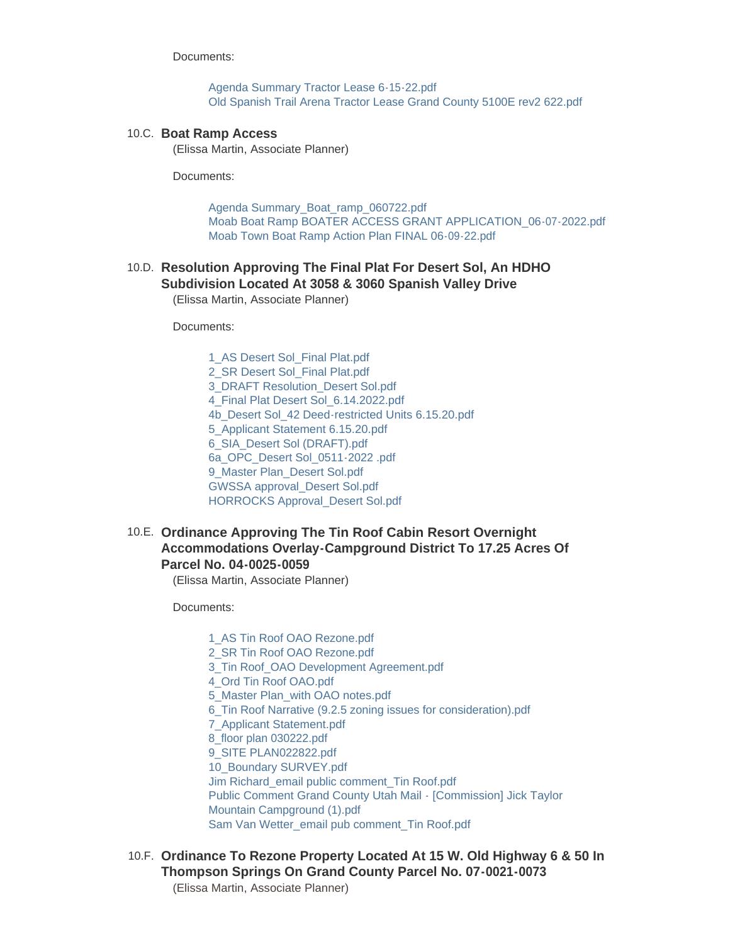Documents:

[Agenda Summary Tractor Lease 6-15-22.pdf](https://www.grandcountyutah.net/AgendaCenter/ViewFile/Item/309?fileID=39411) [Old Spanish Trail Arena Tractor Lease Grand County 5100E rev2 622.pdf](https://www.grandcountyutah.net/AgendaCenter/ViewFile/Item/309?fileID=39412)

#### 10.C. Boat Ramp Access

(Elissa Martin, Associate Planner)

Documents:

[Agenda Summary\\_Boat\\_ramp\\_060722.pdf](https://www.grandcountyutah.net/AgendaCenter/ViewFile/Item/325?fileID=39500) [Moab Boat Ramp BOATER ACCESS GRANT APPLICATION\\_06-07-2022.pdf](https://www.grandcountyutah.net/AgendaCenter/ViewFile/Item/325?fileID=39616) [Moab Town Boat Ramp Action Plan FINAL 06-09-22.pdf](https://www.grandcountyutah.net/AgendaCenter/ViewFile/Item/325?fileID=39615)

#### **Resolution Approving The Final Plat For Desert Sol, An HDHO**  10.D. **Subdivision Located At 3058 & 3060 Spanish Valley Drive**

(Elissa Martin, Associate Planner)

Documents:

[1\\_AS Desert Sol\\_Final Plat.pdf](https://www.grandcountyutah.net/AgendaCenter/ViewFile/Item/321?fileID=39520) [2\\_SR Desert Sol\\_Final Plat.pdf](https://www.grandcountyutah.net/AgendaCenter/ViewFile/Item/321?fileID=39521) [3\\_DRAFT Resolution\\_Desert Sol.pdf](https://www.grandcountyutah.net/AgendaCenter/ViewFile/Item/321?fileID=39522) [4\\_Final Plat Desert Sol\\_6.14.2022.pdf](https://www.grandcountyutah.net/AgendaCenter/ViewFile/Item/321?fileID=39523) [4b\\_Desert Sol\\_42 Deed-restricted Units 6.15.20.pdf](https://www.grandcountyutah.net/AgendaCenter/ViewFile/Item/321?fileID=39524) [5\\_Applicant Statement 6.15.20.pdf](https://www.grandcountyutah.net/AgendaCenter/ViewFile/Item/321?fileID=39525) [6\\_SIA\\_Desert Sol \(DRAFT\).pdf](https://www.grandcountyutah.net/AgendaCenter/ViewFile/Item/321?fileID=39526) [6a\\_OPC\\_Desert Sol\\_0511-2022 .pdf](https://www.grandcountyutah.net/AgendaCenter/ViewFile/Item/321?fileID=39515) [9\\_Master Plan\\_Desert Sol.pdf](https://www.grandcountyutah.net/AgendaCenter/ViewFile/Item/321?fileID=39516) [GWSSA approval\\_Desert Sol.pdf](https://www.grandcountyutah.net/AgendaCenter/ViewFile/Item/321?fileID=39518) [HORROCKS Approval\\_Desert Sol.pdf](https://www.grandcountyutah.net/AgendaCenter/ViewFile/Item/321?fileID=39519)

### **Ordinance Approving The Tin Roof Cabin Resort Overnight**  10.E. **Accommodations Overlay-Campground District To 17.25 Acres Of Parcel No. 04-0025-0059**

(Elissa Martin, Associate Planner)

Documents:

[1\\_AS Tin Roof OAO Rezone.pdf](https://www.grandcountyutah.net/AgendaCenter/ViewFile/Item/326?fileID=39507) [2\\_SR Tin Roof OAO Rezone.pdf](https://www.grandcountyutah.net/AgendaCenter/ViewFile/Item/326?fileID=39508) [3\\_Tin Roof\\_OAO Development Agreement.pdf](https://www.grandcountyutah.net/AgendaCenter/ViewFile/Item/326?fileID=39509) [4\\_Ord Tin Roof OAO.pdf](https://www.grandcountyutah.net/AgendaCenter/ViewFile/Item/326?fileID=39510) [5\\_Master Plan\\_with OAO notes.pdf](https://www.grandcountyutah.net/AgendaCenter/ViewFile/Item/326?fileID=39511) [6\\_Tin Roof Narrative \(9.2.5 zoning issues for consideration\).pdf](https://www.grandcountyutah.net/AgendaCenter/ViewFile/Item/326?fileID=39512) [7\\_Applicant Statement.pdf](https://www.grandcountyutah.net/AgendaCenter/ViewFile/Item/326?fileID=39513) [8\\_floor plan 030222.pdf](https://www.grandcountyutah.net/AgendaCenter/ViewFile/Item/326?fileID=39501) [9\\_SITE PLAN022822.pdf](https://www.grandcountyutah.net/AgendaCenter/ViewFile/Item/326?fileID=39502) [10\\_Boundary SURVEY.pdf](https://www.grandcountyutah.net/AgendaCenter/ViewFile/Item/326?fileID=39503) [Jim Richard\\_email public comment\\_Tin Roof.pdf](https://www.grandcountyutah.net/AgendaCenter/ViewFile/Item/326?fileID=39504) [Public Comment Grand County Utah Mail - \[Commission\] Jick Taylor](https://www.grandcountyutah.net/AgendaCenter/ViewFile/Item/326?fileID=39505)  Mountain Campground (1).pdf [Sam Van Wetter\\_email pub comment\\_Tin Roof.pdf](https://www.grandcountyutah.net/AgendaCenter/ViewFile/Item/326?fileID=39506)

**Ordinance To Rezone Property Located At 15 W. Old Highway 6 & 50 In**  10.F. **Thompson Springs On Grand County Parcel No. 07-0021-0073** (Elissa Martin, Associate Planner)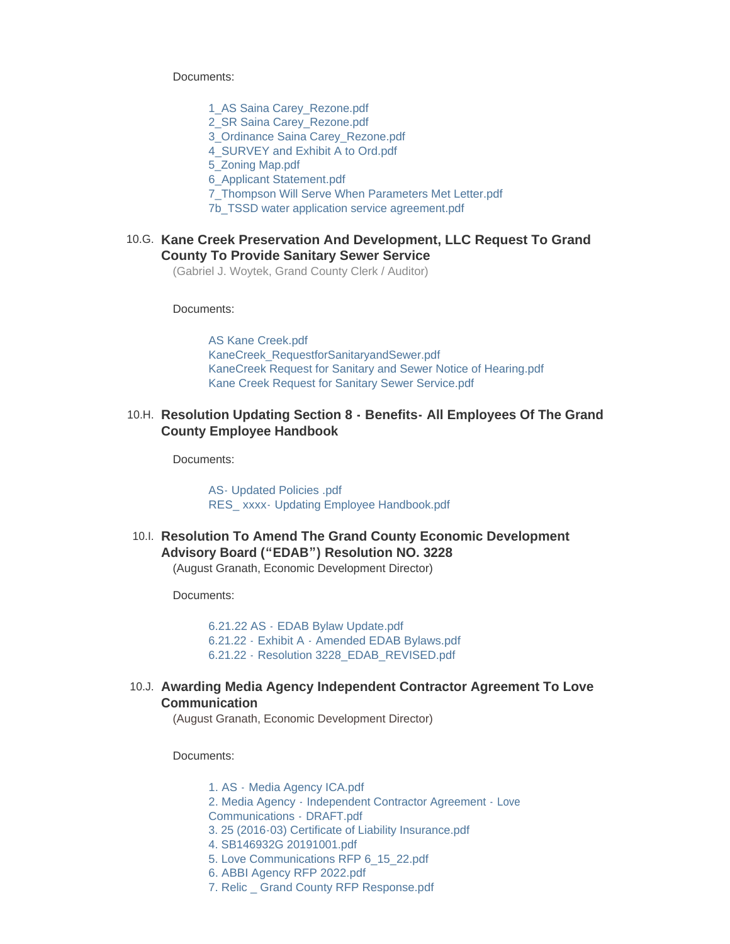Documents:

[1\\_AS Saina Carey\\_Rezone.pdf](https://www.grandcountyutah.net/AgendaCenter/ViewFile/Item/319?fileID=39480) [2\\_SR Saina Carey\\_Rezone.pdf](https://www.grandcountyutah.net/AgendaCenter/ViewFile/Item/319?fileID=39481) [3\\_Ordinance Saina Carey\\_Rezone.pdf](https://www.grandcountyutah.net/AgendaCenter/ViewFile/Item/319?fileID=39482) [4\\_SURVEY and Exhibit A to Ord.pdf](https://www.grandcountyutah.net/AgendaCenter/ViewFile/Item/319?fileID=39483) [5\\_Zoning Map.pdf](https://www.grandcountyutah.net/AgendaCenter/ViewFile/Item/319?fileID=39484) [6\\_Applicant Statement.pdf](https://www.grandcountyutah.net/AgendaCenter/ViewFile/Item/319?fileID=39477)

[7\\_Thompson Will Serve When Parameters Met Letter.pdf](https://www.grandcountyutah.net/AgendaCenter/ViewFile/Item/319?fileID=39478)

[7b\\_TSSD water application service agreement.pdf](https://www.grandcountyutah.net/AgendaCenter/ViewFile/Item/319?fileID=39479)

#### **Kane Creek Preservation And Development, LLC Request To Grand**  10.G. **County To Provide Sanitary Sewer Service**

(Gabriel J. Woytek, Grand County Clerk / Auditor)

Documents:

[AS Kane Creek.pdf](https://www.grandcountyutah.net/AgendaCenter/ViewFile/Item/330?fileID=39536) [KaneCreek\\_RequestforSanitaryandSewer.pdf](https://www.grandcountyutah.net/AgendaCenter/ViewFile/Item/330?fileID=39535) [KaneCreek Request for Sanitary and Sewer Notice of Hearing.pdf](https://www.grandcountyutah.net/AgendaCenter/ViewFile/Item/330?fileID=39534) [Kane Creek Request for Sanitary Sewer Service.pdf](https://www.grandcountyutah.net/AgendaCenter/ViewFile/Item/330?fileID=39537)

#### 10.H. Resolution Updating Section 8 - Benefits- All Employees Of The Grand **County Employee Handbook**

Documents:

[AS- Updated Policies .pdf](https://www.grandcountyutah.net/AgendaCenter/ViewFile/Item/308?fileID=39570) RES\_ xxxx- [Updating Employee Handbook.pdf](https://www.grandcountyutah.net/AgendaCenter/ViewFile/Item/308?fileID=39571)

10.I. Resolution To Amend The Grand County Economic Development **Advisory Board ("EDAB") Resolution NO. 3228**

(August Granath, Economic Development Director)

Documents:

6.21.22 AS - [EDAB Bylaw Update.pdf](https://www.grandcountyutah.net/AgendaCenter/ViewFile/Item/311?fileID=39540) 6.21.22 - Exhibit A - [Amended EDAB Bylaws.pdf](https://www.grandcountyutah.net/AgendaCenter/ViewFile/Item/311?fileID=39541) 6.21.22 - [Resolution 3228\\_EDAB\\_REVISED.pdf](https://www.grandcountyutah.net/AgendaCenter/ViewFile/Item/311?fileID=39539)

**Awarding Media Agency Independent Contractor Agreement To Love**  10.J. **Communication**

(August Granath, Economic Development Director)

Documents:

1. AS - [Media Agency ICA.pdf](https://www.grandcountyutah.net/AgendaCenter/ViewFile/Item/328?fileID=39588) 2. Media Agency - [Independent Contractor Agreement -](https://www.grandcountyutah.net/AgendaCenter/ViewFile/Item/328?fileID=39589) Love Communications - DRAFT.pdf [3. 25 \(2016-03\) Certificate of Liability Insurance.pdf](https://www.grandcountyutah.net/AgendaCenter/ViewFile/Item/328?fileID=39590) [4. SB146932G 20191001.pdf](https://www.grandcountyutah.net/AgendaCenter/ViewFile/Item/328?fileID=39591) [5. Love Communications RFP 6\\_15\\_22.pdf](https://www.grandcountyutah.net/AgendaCenter/ViewFile/Item/328?fileID=39592) [6. ABBI Agency RFP 2022.pdf](https://www.grandcountyutah.net/AgendaCenter/ViewFile/Item/328?fileID=39593) [7. Relic \\_ Grand County RFP Response.pdf](https://www.grandcountyutah.net/AgendaCenter/ViewFile/Item/328?fileID=39594)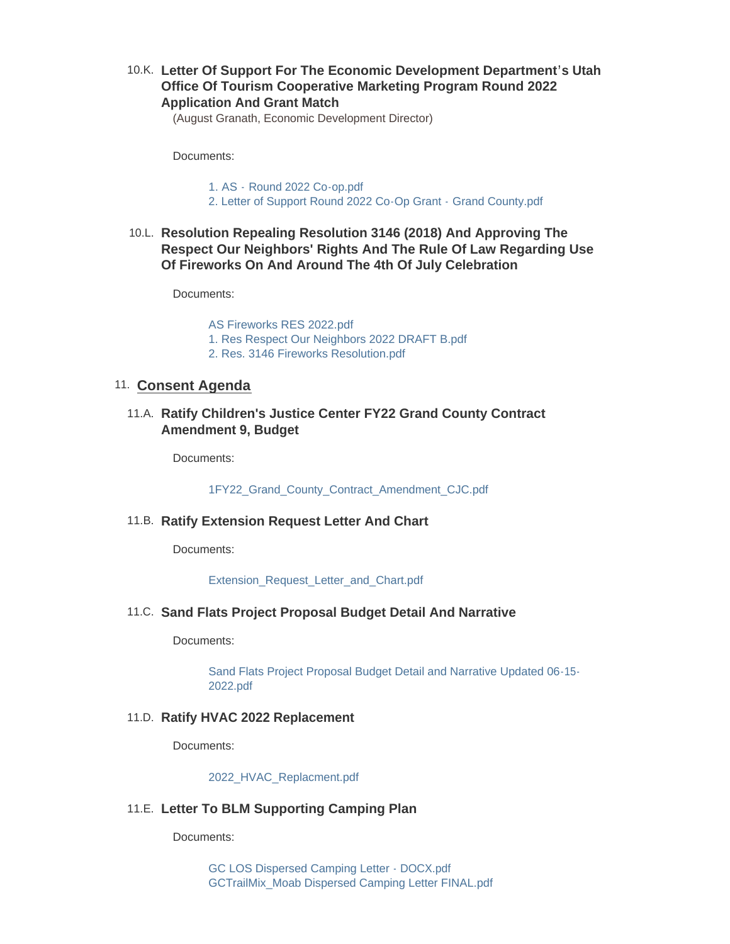## **Letter Of Support For The Economic Development Department's Utah**  10.K. **Office Of Tourism Cooperative Marketing Program Round 2022 Application And Grant Match**

(August Granath, Economic Development Director)

Documents:

1. AS - [Round 2022 Co-op.pdf](https://www.grandcountyutah.net/AgendaCenter/ViewFile/Item/312?fileID=39595)

- [2. Letter of Support Round 2022 Co-Op Grant -](https://www.grandcountyutah.net/AgendaCenter/ViewFile/Item/312?fileID=39596) Grand County.pdf
- **Resolution Repealing Resolution 3146 (2018) And Approving The**  10.L. **Respect Our Neighbors' Rights And The Rule Of Law Regarding Use Of Fireworks On And Around The 4th Of July Celebration**

Documents:

[AS Fireworks RES 2022.pdf](https://www.grandcountyutah.net/AgendaCenter/ViewFile/Item/331?fileID=39580) [1. Res Respect Our Neighbors 2022 DRAFT B.pdf](https://www.grandcountyutah.net/AgendaCenter/ViewFile/Item/331?fileID=39578) [2. Res. 3146 Fireworks Resolution.pdf](https://www.grandcountyutah.net/AgendaCenter/ViewFile/Item/331?fileID=39579)

### 11. **Consent Agenda**

**Ratify Children's Justice Center FY22 Grand County Contract**  11.A. **Amendment 9, Budget**

Documents:

[1FY22\\_Grand\\_County\\_Contract\\_Amendment\\_CJC.pdf](https://www.grandcountyutah.net/AgendaCenter/ViewFile/Item/302?fileID=39407)

#### **Ratify Extension Request Letter And Chart** 11.B.

Documents:

[Extension\\_Request\\_Letter\\_and\\_Chart.pdf](https://www.grandcountyutah.net/AgendaCenter/ViewFile/Item/303?fileID=39408)

**Sand Flats Project Proposal Budget Detail And Narrative** 11.C.

Documents:

[Sand Flats Project Proposal Budget Detail and Narrative Updated 06-15-](https://www.grandcountyutah.net/AgendaCenter/ViewFile/Item/305?fileID=39410) 2022.pdf

#### **Ratify HVAC 2022 Replacement** 11.D.

Documents:

[2022\\_HVAC\\_Replacment.pdf](https://www.grandcountyutah.net/AgendaCenter/ViewFile/Item/304?fileID=39409)

#### **Letter To BLM Supporting Camping Plan** 11.E.

Documents:

[GC LOS Dispersed Camping Letter - DOCX.pdf](https://www.grandcountyutah.net/AgendaCenter/ViewFile/Item/301?fileID=39529) [GCTrailMix\\_Moab Dispersed Camping Letter FINAL.pdf](https://www.grandcountyutah.net/AgendaCenter/ViewFile/Item/301?fileID=39406)